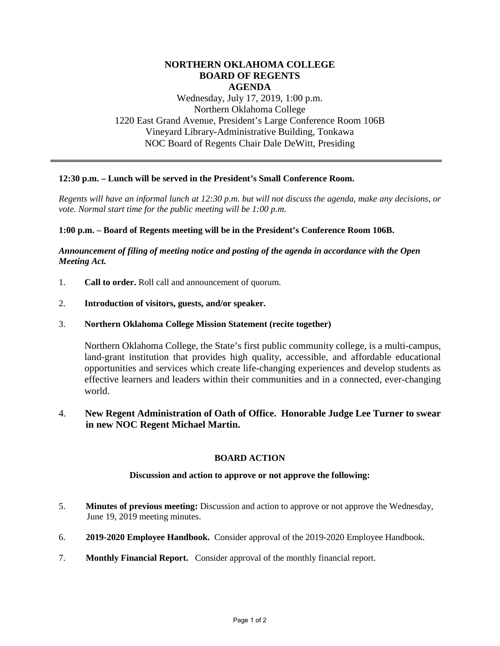# **NORTHERN OKLAHOMA COLLEGE BOARD OF REGENTS AGENDA**

Wednesday, July 17, 2019, 1:00 p.m. Northern Oklahoma College 1220 East Grand Avenue, President's Large Conference Room 106B Vineyard Library-Administrative Building, Tonkawa NOC Board of Regents Chair Dale DeWitt, Presiding

### **12:30 p.m. – Lunch will be served in the President's Small Conference Room.**

*Regents will have an informal lunch at 12:30 p.m. but will not discuss the agenda, make any decisions, or vote. Normal start time for the public meeting will be 1:00 p.m.* 

#### **1:00 p.m. – Board of Regents meeting will be in the President's Conference Room 106B.**

## *Announcement of filing of meeting notice and posting of the agenda in accordance with the Open Meeting Act.*

- 1. **Call to order.** Roll call and announcement of quorum.
- 2. **Introduction of visitors, guests, and/or speaker.**
- 3. **Northern Oklahoma College Mission Statement (recite together)**

Northern Oklahoma College, the State's first public community college, is a multi-campus, land-grant institution that provides high quality, accessible, and affordable educational opportunities and services which create life-changing experiences and develop students as effective learners and leaders within their communities and in a connected, ever-changing world.

# 4. **New Regent Administration of Oath of Office. Honorable Judge Lee Turner to swear in new NOC Regent Michael Martin.**

### **BOARD ACTION**

#### **Discussion and action to approve or not approve the following:**

- 5. **Minutes of previous meeting:** Discussion and action to approve or not approve the Wednesday, June 19, 2019 meeting minutes.
- 6. **2019-2020 Employee Handbook.** Consider approval of the 2019-2020 Employee Handbook.
- 7. **Monthly Financial Report.** Consider approval of the monthly financial report.